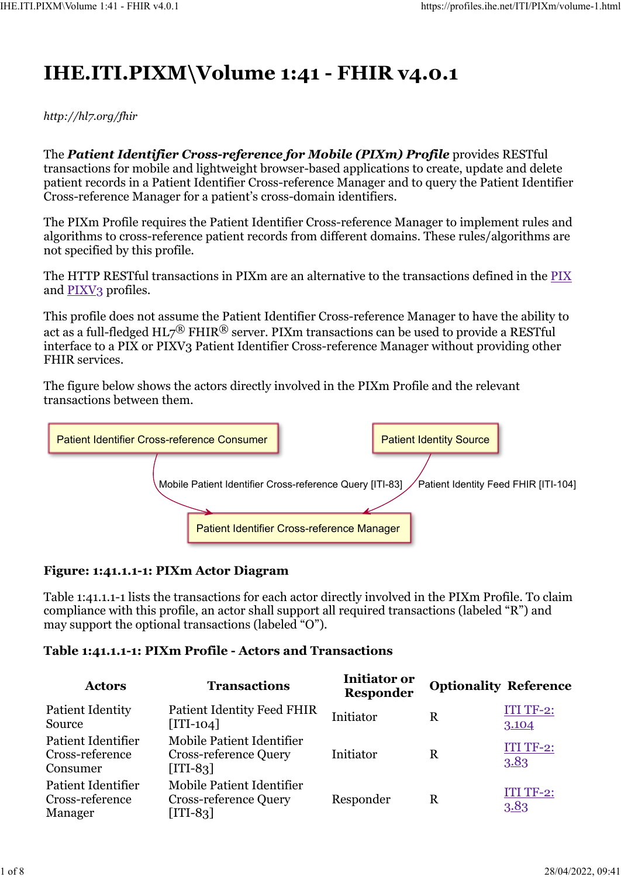# **IHE.ITI.PIXM\Volume 1:41 - FHIR v4.0.1**

*http://hl7.org/fhir*

The *Patient Identifier Cross-reference for Mobile (PIXm) Profile* provides RESTful transactions for mobile and lightweight browser-based applications to create, update and delete patient records in a Patient Identifier Cross-reference Manager and to query the Patient Identifier Cross-reference Manager for a patient's cross-domain identifiers.

The PIXm Profile requires the Patient Identifier Cross-reference Manager to implement rules and algorithms to cross-reference patient records from different domains. These rules/algorithms are not specified by this profile.

The HTTP RESTful transactions in [PIX](https://profiles.ihe.net/ITI/TF/Volume1/ch-5.html)m are an alternative to the transactions defined in the PIX and [PIXV3](https://profiles.ihe.net/ITI/TF/Volume1/ch-23.html) profiles.

This profile does not assume the Patient Identifier Cross-reference Manager to have the ability to act as a full-fledged  $HL7^{\circledR}$  FHIR<sup>®</sup> server. PIXm transactions can be used to provide a RESTful interface to a PIX or PIXV3 Patient Identifier Cross-reference Manager without providing other FHIR services.

The figure below shows the actors directly involved in the PIXm Profile and the relevant transactions between them.



### **Figure: 1:41.1.1-1: PIXm Actor Diagram**

Table 1:41.1.1-1 lists the transactions for each actor directly involved in the PIXm Profile. To claim compliance with this profile, an actor shall support all required transactions (labeled "R") and may support the optional transactions (labeled "O").

## **Table 1:41.1.1-1: PIXm Profile - Actors and Transactions**

| <b>Actors</b>                                     | <b>Transactions</b>                                                     | <b>Initiator or</b><br><b>Responder</b> | <b>Optionality Reference</b> |                    |
|---------------------------------------------------|-------------------------------------------------------------------------|-----------------------------------------|------------------------------|--------------------|
| Patient Identity<br>Source                        | Patient Identity Feed FHIR<br>$[ITI-104]$                               | Initiator                               | $\mathbf R$                  | ITI TF-2:<br>3.104 |
| Patient Identifier<br>Cross-reference<br>Consumer | Mobile Patient Identifier<br>Cross-reference Query<br>$[ITI-83]$        | Initiator                               | $\mathbf R$                  | ITI TF-2:<br>3.83  |
| Patient Identifier<br>Cross-reference<br>Manager  | Mobile Patient Identifier<br><b>Cross-reference Query</b><br>$[ITI-83]$ | Responder                               | R                            | ITI TF-2:<br>3.83  |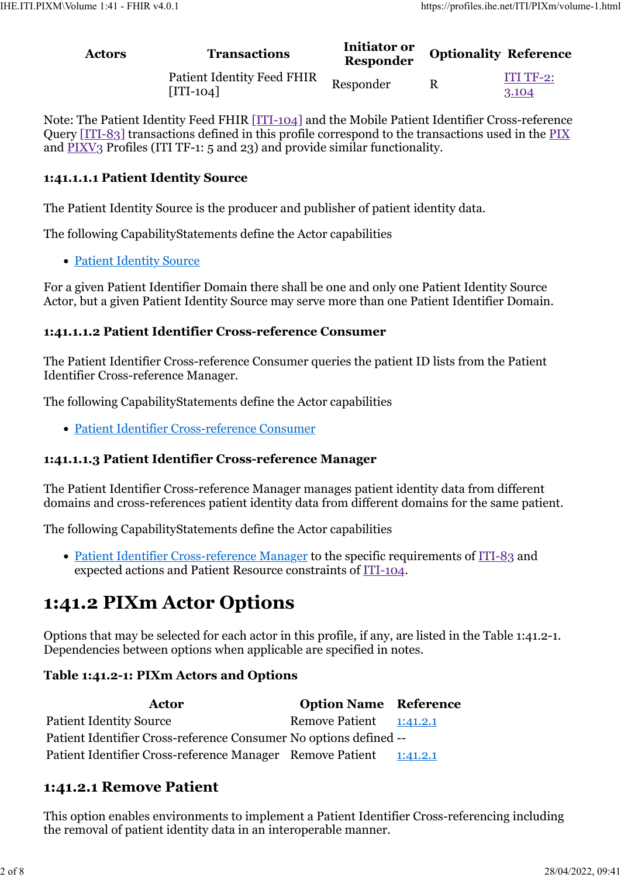| Actors | <b>Transactions</b>                       | Initiator or<br><b>Responder</b> | <b>Optionality Reference</b> |
|--------|-------------------------------------------|----------------------------------|------------------------------|
|        | Patient Identity Feed FHIR<br>$[ITI-104]$ | Responder                        | $ITI TF-2:$<br>3.104         |

Note: The Patient Identity Feed FHIR [\[ITI-104\]](https://profiles.ihe.net/ITI/PIXm/ITI-104.html) and the Mobile Patient Identifier Cross-reference Query [\[ITI-83\]](https://profiles.ihe.net/ITI/PIXm/ITI-83.html) transactions defined in this profile correspond to the transactions used in the [PIX](https://profiles.ihe.net/ITI/TF/Volume1/ch-5.html) and [PIXV3](https://profiles.ihe.net/ITI/TF/Volume1/ch-23.html) Profiles (ITI TF-1: 5 and 23) and provide similar functionality.

## **1:41.1.1.1 Patient Identity Source**

The Patient Identity Source is the producer and publisher of patient identity data.

The following CapabilityStatements define the Actor capabilities

• [Patient Identity Source](https://profiles.ihe.net/ITI/PIXm/CapabilityStatement-IHE.PIXm.Source.html)

For a given Patient Identifier Domain there shall be one and only one Patient Identity Source Actor, but a given Patient Identity Source may serve more than one Patient Identifier Domain.

## **1:41.1.1.2 Patient Identifier Cross-reference Consumer**

The Patient Identifier Cross-reference Consumer queries the patient ID lists from the Patient Identifier Cross-reference Manager.

The following CapabilityStatements define the Actor capabilities

• [Patient Identifier Cross-reference Consumer](https://profiles.ihe.net/ITI/PIXm/CapabilityStatement-IHE.PIXm.Consumer.html)

## **1:41.1.1.3 Patient Identifier Cross-reference Manager**

The Patient Identifier Cross-reference Manager manages patient identity data from different domains and cross-references patient identity data from different domains for the same patient.

The following CapabilityStatements define the Actor capabilities

• [Patient Identifier Cross-reference Manager](https://profiles.ihe.net/ITI/PIXm/CapabilityStatement-IHE.PIXm.Manager.html) to the specific requirements of [ITI-83](https://profiles.ihe.net/ITI/PIXm/ITI-83.html) and expected actions and Patient Resource constraints of [ITI-104.](https://profiles.ihe.net/ITI/PIXm/ITI-104.html)

## **1:41.2 PIXm Actor Options**

Options that may be selected for each actor in this profile, if any, are listed in the Table 1:41.2-1. Dependencies between options when applicable are specified in notes.

## **Table 1:41.2-1: PIXm Actors and Options**

| Actor                                                             | <b>Option Name Reference</b> |          |
|-------------------------------------------------------------------|------------------------------|----------|
| <b>Patient Identity Source</b>                                    | Remove Patient $1:41.2.1$    |          |
| Patient Identifier Cross-reference Consumer No options defined -- |                              |          |
| Patient Identifier Cross-reference Manager Remove Patient         |                              | 1:41.2.1 |

## **1:41.2.1 Remove Patient**

This option enables environments to implement a Patient Identifier Cross-referencing including the removal of patient identity data in an interoperable manner.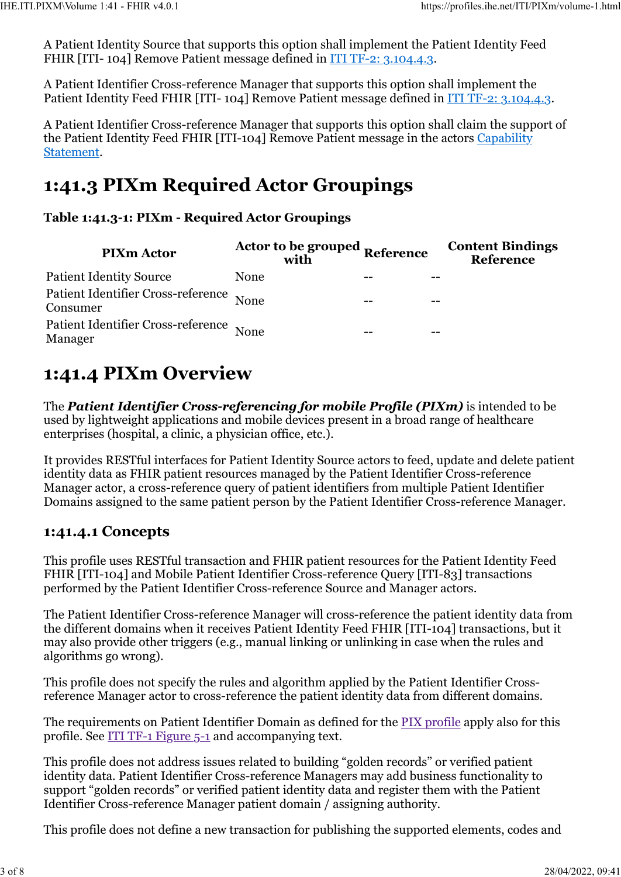A Patient Identity Source that supports this option shall implement the Patient Identity Feed FHIR [ITI- 104] Remove Patient message defined in [ITI TF-2: 3.104.4.3.](https://profiles.ihe.net/ITI/PIXm/ITI-104.html#2310443-remove-patient)

A Patient Identifier Cross-reference Manager that supports this option shall implement the Patient Identity Feed FHIR [ITI- 104] Remove Patient message defined in [ITI TF-2: 3.104.4.3.](https://profiles.ihe.net/ITI/PIXm/ITI-104.html#2310443-remove-patient)

A Patient Identifier Cross-reference Manager that supports this option shall claim the support of the Patient Identity Feed FHIR [ITI-104] Remove Patient message in the actors [Capability](https://profiles.ihe.net/ITI/PIXm/CapabilityStatement-IHE.PIXm.Manager.html) [Statement.](https://profiles.ihe.net/ITI/PIXm/CapabilityStatement-IHE.PIXm.Manager.html)

# **1:41.3 PIXm Required Actor Groupings**

## **Table 1:41.3-1: PIXm - Required Actor Groupings**

| <b>PIXm Actor</b>                                   | Actor to be grouped Reference<br>with | <b>Content Bindings</b><br><b>Reference</b> |
|-----------------------------------------------------|---------------------------------------|---------------------------------------------|
| <b>Patient Identity Source</b>                      | None                                  |                                             |
| Patient Identifier Cross-reference None<br>Consumer |                                       | --                                          |
| Patient Identifier Cross-reference None<br>Manager  |                                       | --                                          |

## **1:41.4 PIXm Overview**

The *Patient Identifier Cross-referencing for mobile Profile (PIXm)* is intended to be used by lightweight applications and mobile devices present in a broad range of healthcare enterprises (hospital, a clinic, a physician office, etc.).

It provides RESTful interfaces for Patient Identity Source actors to feed, update and delete patient identity data as FHIR patient resources managed by the Patient Identifier Cross-reference Manager actor, a cross-reference query of patient identifiers from multiple Patient Identifier Domains assigned to the same patient person by the Patient Identifier Cross-reference Manager.

## **1:41.4.1 Concepts**

This profile uses RESTful transaction and FHIR patient resources for the Patient Identity Feed FHIR [ITI-104] and Mobile Patient Identifier Cross-reference Query [ITI-83] transactions performed by the Patient Identifier Cross-reference Source and Manager actors.

The Patient Identifier Cross-reference Manager will cross-reference the patient identity data from the different domains when it receives Patient Identity Feed FHIR [ITI-104] transactions, but it may also provide other triggers (e.g., manual linking or unlinking in case when the rules and algorithms go wrong).

This profile does not specify the rules and algorithm applied by the Patient Identifier Crossreference Manager actor to cross-reference the patient identity data from different domains.

The requirements on Patient Identifier Domain as defined for the [PIX profile](https://profiles.ihe.net/ITI/TF/Volume1/ch-5.html) apply also for this profile. See [ITI TF-1 Figure 5-1](https://profiles.ihe.net/ITI/TF/Volume1/ch-5.html) and accompanying text.

This profile does not address issues related to building "golden records" or verified patient identity data. Patient Identifier Cross-reference Managers may add business functionality to support "golden records" or verified patient identity data and register them with the Patient Identifier Cross-reference Manager patient domain / assigning authority.

This profile does not define a new transaction for publishing the supported elements, codes and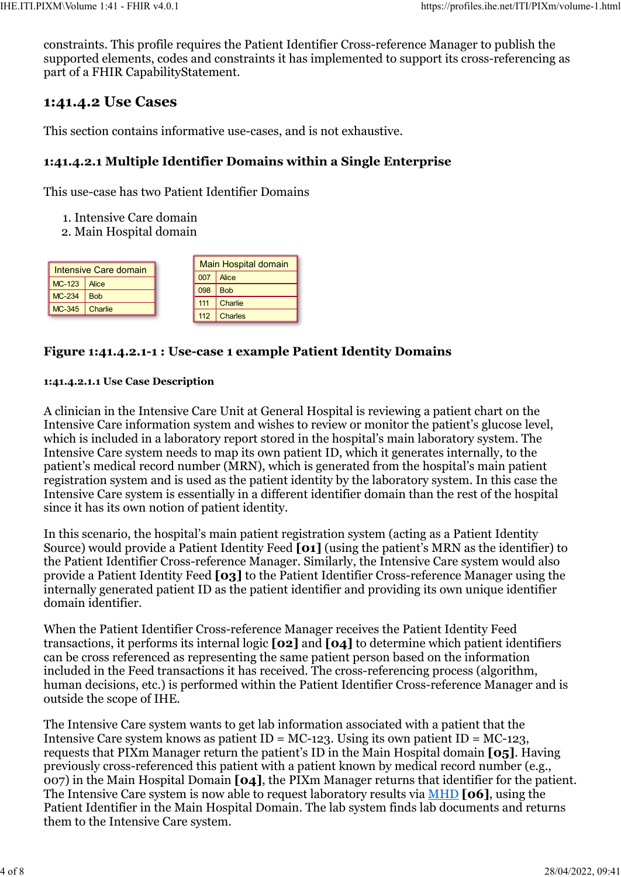constraints. This profile requires the Patient Identifier Cross-reference Manager to publish the supported elements, codes and constraints it has implemented to support its cross-referencing as part of a FHIR CapabilityStatement.

## **1:41.4.2 Use Cases**

This section contains informative use-cases, and is not exhaustive.

## **1:41.4.2.1 Multiple Identifier Domains within a Single Enterprise**

This use-case has two Patient Identifier Domains

- 1. Intensive Care domain
- 2. Main Hospital domain

| Intensive Care domain |            | <b>Main Hospital domain</b> |     |                |
|-----------------------|------------|-----------------------------|-----|----------------|
| $MC-123$<br>Alice     |            |                             | 007 | Alice          |
|                       |            |                             | 098 | <b>Bob</b>     |
| MC-234                | <b>Bob</b> |                             | 111 | <b>Charlie</b> |
| MC-345                | Charlie    |                             | 112 | <b>Charles</b> |

### **Figure 1:41.4.2.1-1 : Use-case 1 example Patient Identity Domains**

#### **1:41.4.2.1.1 Use Case Description**

A clinician in the Intensive Care Unit at General Hospital is reviewing a patient chart on the Intensive Care information system and wishes to review or monitor the patient's glucose level, which is included in a laboratory report stored in the hospital's main laboratory system. The Intensive Care system needs to map its own patient ID, which it generates internally, to the patient's medical record number (MRN), which is generated from the hospital's main patient registration system and is used as the patient identity by the laboratory system. In this case the Intensive Care system is essentially in a different identifier domain than the rest of the hospital since it has its own notion of patient identity.

In this scenario, the hospital's main patient registration system (acting as a Patient Identity Source) would provide a Patient Identity Feed **[01]** (using the patient's MRN as the identifier) to the Patient Identifier Cross-reference Manager. Similarly, the Intensive Care system would also provide a Patient Identity Feed **[03]** to the Patient Identifier Cross-reference Manager using the internally generated patient ID as the patient identifier and providing its own unique identifier domain identifier.

When the Patient Identifier Cross-reference Manager receives the Patient Identity Feed transactions, it performs its internal logic **[02]** and **[04]** to determine which patient identifiers can be cross referenced as representing the same patient person based on the information included in the Feed transactions it has received. The cross-referencing process (algorithm, human decisions, etc.) is performed within the Patient Identifier Cross-reference Manager and is outside the scope of IHE.

The Intensive Care system wants to get lab information associated with a patient that the Intensive Care system knows as patient  $ID = MC$ -123. Using its own patient  $ID = MC$ -123. requests that PIXm Manager return the patient's ID in the Main Hospital domain **[05]**. Having previously cross-referenced this patient with a patient known by medical record number (e.g., 007) in the Main Hospital Domain **[04]**, the PIXm Manager returns that identifier for the patient. The Intensive Care system is now able to request laboratory results via [MHD](https://profiles.ihe.net/ITI/TF/Volume1/ch-33.html) **[06]**, using the Patient Identifier in the Main Hospital Domain. The lab system finds lab documents and returns them to the Intensive Care system.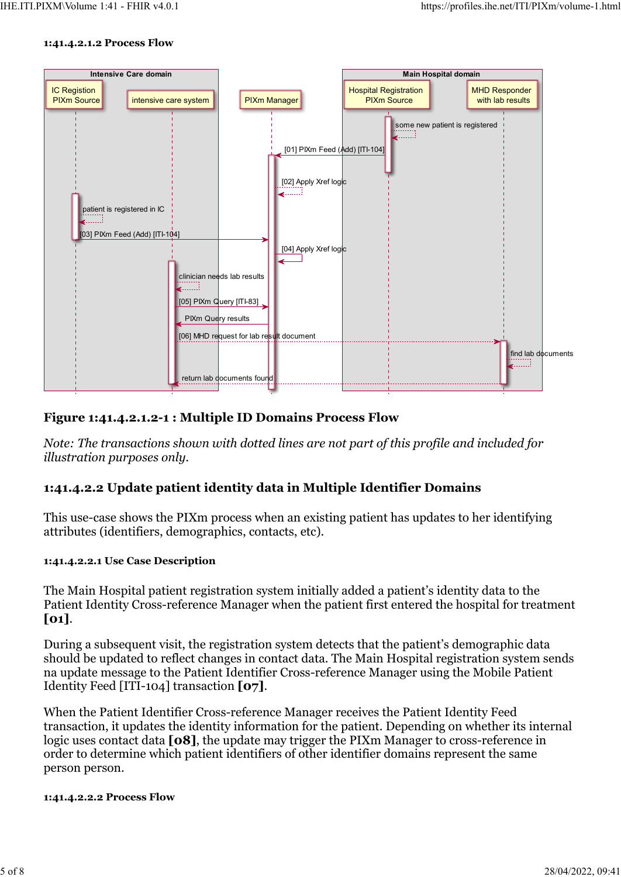#### **1:41.4.2.1.2 Process Flow**



### **Figure 1:41.4.2.1.2-1 : Multiple ID Domains Process Flow**

*Note: The transactions shown with dotted lines are not part of this profile and included for illustration purposes only.*

### **1:41.4.2.2 Update patient identity data in Multiple Identifier Domains**

This use-case shows the PIXm process when an existing patient has updates to her identifying attributes (identifiers, demographics, contacts, etc).

#### **1:41.4.2.2.1 Use Case Description**

The Main Hospital patient registration system initially added a patient's identity data to the Patient Identity Cross-reference Manager when the patient first entered the hospital for treatment **[01]**.

During a subsequent visit, the registration system detects that the patient's demographic data should be updated to reflect changes in contact data. The Main Hospital registration system sends na update message to the Patient Identifier Cross-reference Manager using the Mobile Patient Identity Feed [ITI-104] transaction **[07]**.

When the Patient Identifier Cross-reference Manager receives the Patient Identity Feed transaction, it updates the identity information for the patient. Depending on whether its internal logic uses contact data **[08]**, the update may trigger the PIXm Manager to cross-reference in order to determine which patient identifiers of other identifier domains represent the same person person.

#### **1:41.4.2.2.2 Process Flow**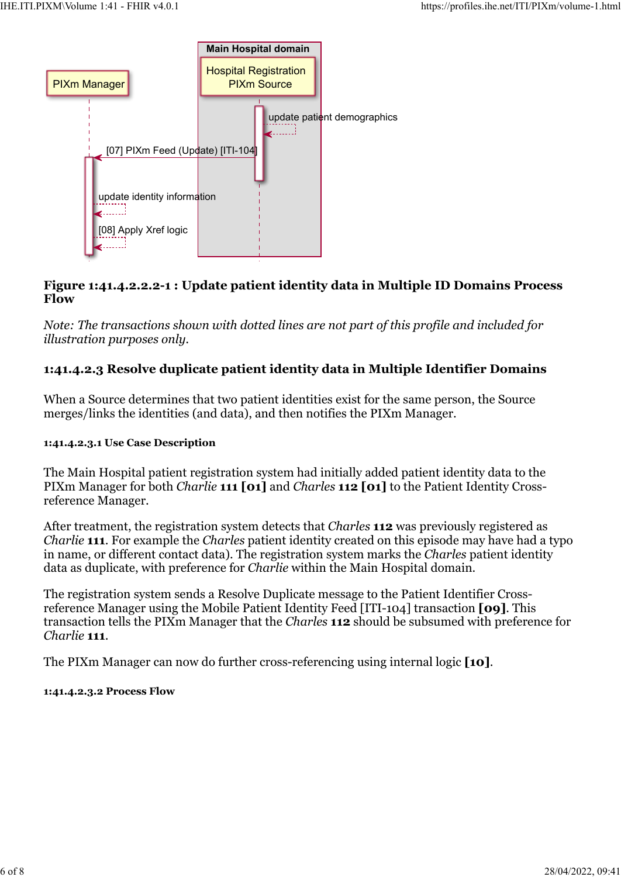

### **Figure 1:41.4.2.2.2-1 : Update patient identity data in Multiple ID Domains Process Flow**

*Note: The transactions shown with dotted lines are not part of this profile and included for illustration purposes only.*

## **1:41.4.2.3 Resolve duplicate patient identity data in Multiple Identifier Domains**

When a Source determines that two patient identities exist for the same person, the Source merges/links the identities (and data), and then notifies the PIXm Manager.

## **1:41.4.2.3.1 Use Case Description**

The Main Hospital patient registration system had initially added patient identity data to the PIXm Manager for both *Charlie* **111 [01]** and *Charles* **112 [01]** to the Patient Identity Crossreference Manager.

After treatment, the registration system detects that *Charles* **112** was previously registered as *Charlie* **111**. For example the *Charles* patient identity created on this episode may have had a typo in name, or different contact data). The registration system marks the *Charles* patient identity data as duplicate, with preference for *Charlie* within the Main Hospital domain.

The registration system sends a Resolve Duplicate message to the Patient Identifier Crossreference Manager using the Mobile Patient Identity Feed [ITI-104] transaction **[09]**. This transaction tells the PIXm Manager that the *Charles* **112** should be subsumed with preference for *Charlie* **111**.

The PIXm Manager can now do further cross-referencing using internal logic **[10]**.

### **1:41.4.2.3.2 Process Flow**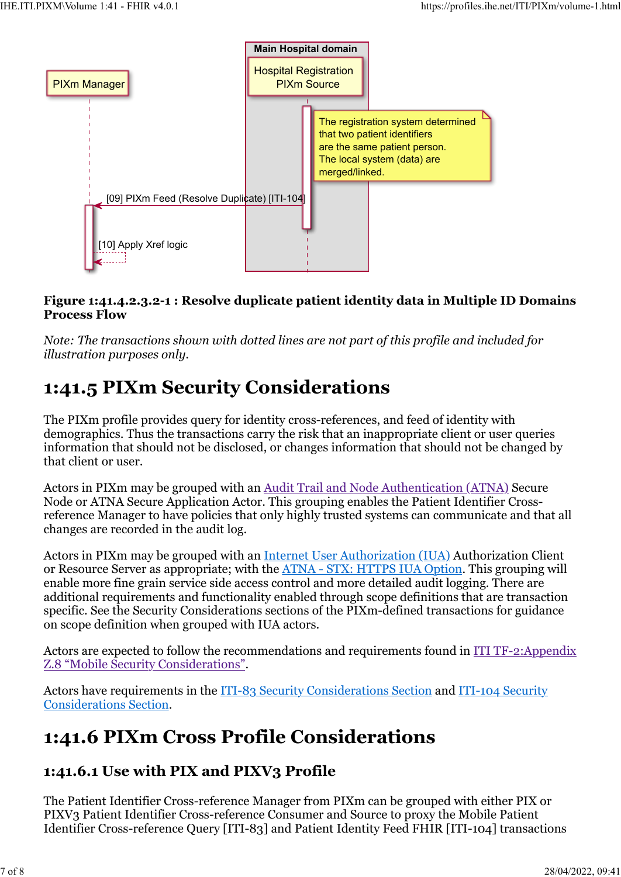

## **Figure 1:41.4.2.3.2-1 : Resolve duplicate patient identity data in Multiple ID Domains Process Flow**

*Note: The transactions shown with dotted lines are not part of this profile and included for illustration purposes only.*

# **1:41.5 PIXm Security Considerations**

The PIXm profile provides query for identity cross-references, and feed of identity with demographics. Thus the transactions carry the risk that an inappropriate client or user queries information that should not be disclosed, or changes information that should not be changed by that client or user.

Actors in PIXm may be grouped with an [Audit Trail and Node Authentication \(ATNA\)](https://profiles.ihe.net/ITI/TF/Volume1/ch-9.html) Secure Node or ATNA Secure Application Actor. This grouping enables the Patient Identifier Crossreference Manager to have policies that only highly trusted systems can communicate and that all changes are recorded in the audit log.

Actors in PIXm may be grouped with an [Internet User Authorization \(IUA\)](https://profiles.ihe.net/ITI/TF/Volume1/ch-34.html) Authorization Client or Resource Server as appropriate; with the [ATNA - STX: HTTPS IUA Option.](https://profiles.ihe.net/ITI/IUA/index.html#9-atna-profile) This grouping will enable more fine grain service side access control and more detailed audit logging. There are additional requirements and functionality enabled through scope definitions that are transaction specific. See the Security Considerations sections of the PIXm-defined transactions for guidance on scope definition when grouped with IUA actors.

Actors are expected to follow the recommendations and requirements found in [ITI TF-2:Appendix](https://profiles.ihe.net/ITI/TF/Volume2/ch-Z.html#z.8-mobile-security-considerations) [Z.8 "Mobile Security Considerations".](https://profiles.ihe.net/ITI/TF/Volume2/ch-Z.html#z.8-mobile-security-considerations)

Actors have requirements in the [ITI-83 Security Considerations Section](https://profiles.ihe.net/ITI/PIXm/ITI-83.html#23835-security-considerations) and [ITI-104 Security](https://profiles.ihe.net/ITI/PIXm/ITI-104.html#231045-security-considerations) [Considerations Section.](https://profiles.ihe.net/ITI/PIXm/ITI-104.html#231045-security-considerations)

## **1:41.6 PIXm Cross Profile Considerations**

## **1:41.6.1 Use with PIX and PIXV3 Profile**

The Patient Identifier Cross-reference Manager from PIXm can be grouped with either PIX or PIXV3 Patient Identifier Cross-reference Consumer and Source to proxy the Mobile Patient Identifier Cross-reference Query [ITI-83] and Patient Identity Feed FHIR [ITI-104] transactions